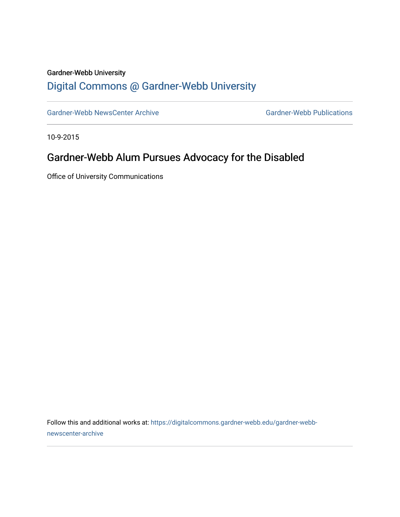## Gardner-Webb University

## [Digital Commons @ Gardner-Webb University](https://digitalcommons.gardner-webb.edu/)

[Gardner-Webb NewsCenter Archive](https://digitalcommons.gardner-webb.edu/gardner-webb-newscenter-archive) Gardner-Webb Publications

10-9-2015

## Gardner-Webb Alum Pursues Advocacy for the Disabled

Office of University Communications

Follow this and additional works at: [https://digitalcommons.gardner-webb.edu/gardner-webb](https://digitalcommons.gardner-webb.edu/gardner-webb-newscenter-archive?utm_source=digitalcommons.gardner-webb.edu%2Fgardner-webb-newscenter-archive%2F1104&utm_medium=PDF&utm_campaign=PDFCoverPages)[newscenter-archive](https://digitalcommons.gardner-webb.edu/gardner-webb-newscenter-archive?utm_source=digitalcommons.gardner-webb.edu%2Fgardner-webb-newscenter-archive%2F1104&utm_medium=PDF&utm_campaign=PDFCoverPages)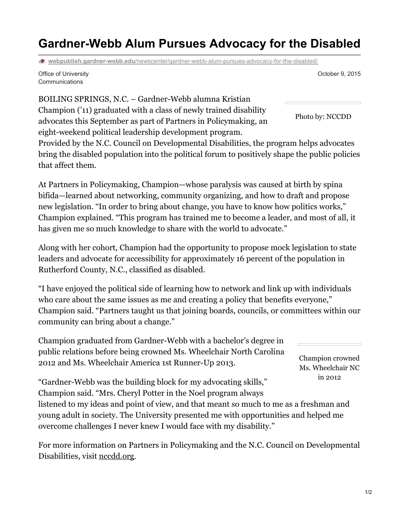## **Gardner-Webb Alum Pursues Advocacy for the Disabled**

**webpublish.gardner-webb.edu**[/newscenter/gardner-webb-alum-pursues-advocacy-for-the-disabled/](https://webpublish.gardner-webb.edu/newscenter/gardner-webb-alum-pursues-advocacy-for-the-disabled/)

Office of University Communications

BOILING SPRINGS, N.C. – Gardner-Webb alumna Kristian Champion ('11) graduated with a class of newly trained disability advocates this September as part of Partners in Policymaking, an eight-weekend political leadership development program.

Provided by the N.C. Council on Developmental Disabilities, the program helps advocates bring the disabled population into the political forum to positively shape the public policies that affect them.

At Partners in Policymaking, Champion—whose paralysis was caused at birth by spina bifida—learned about networking, community organizing, and how to draft and propose new legislation. "In order to bring about change, you have to know how politics works," Champion explained. "This program has trained me to become a leader, and most of all, it has given me so much knowledge to share with the world to advocate."

Along with her cohort, Champion had the opportunity to propose mock legislation to state leaders and advocate for accessibility for approximately 16 percent of the population in Rutherford County, N.C., classified as disabled.

"I have enjoyed the political side of learning how to network and link up with individuals who care about the same issues as me and creating a policy that benefits everyone," Champion said. "Partners taught us that joining boards, councils, or committees within our community can bring about a change."

Champion graduated from Gardner-Webb with a bachelor's degree in public relations before being crowned Ms. Wheelchair North Carolina 2012 and Ms. Wheelchair America 1st Runner-Up 2013.

Champion crowned Ms. Wheelchair NC in 2012

"Gardner-Webb was the building block for my advocating skills," Champion said. "Mrs. Cheryl Potter in the Noel program always

listened to my ideas and point of view, and that meant so much to me as a freshman and young adult in society. The University presented me with opportunities and helped me overcome challenges I never knew I would face with my disability."

For more information on Partners in Policymaking and the N.C. Council on Developmental Disabilities, visit [nccdd.org](http://nccdd.org/).

Photo by: NCCDD

October 9, 2015